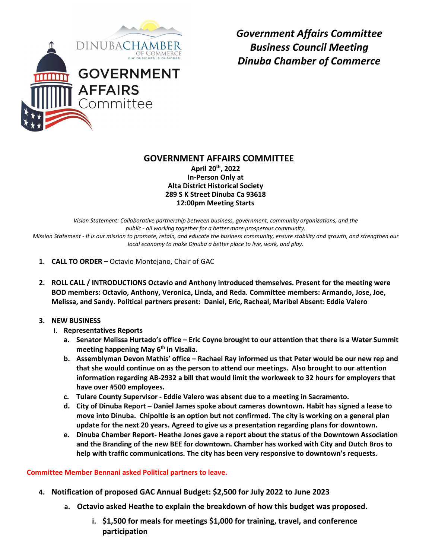

*Government Affairs Committee Business Council Meeting Dinuba Chamber of Commerce* 

## **GOVERNMENT AFFAIRS COMMITTEE**

**April 20th, 2022 In-Person Only at Alta District Historical Society 289 S K Street Dinuba Ca 93618 12:00pm Meeting Starts** 

*Vision Statement: Collaborative partnership between business, government, community organizations, and the public - all working together for a better more prosperous community. Mission Statement - It is our mission to promote, retain, and educate the business community, ensure stability and growth, and strengthen our local economy to make Dinuba a better place to live, work, and play.*

- **1. CALL TO ORDER –** Octavio Montejano, Chair of GAC
- **2. ROLL CALL / INTRODUCTIONS Octavio and Anthony introduced themselves. Present for the meeting were BOD members: Octavio, Anthony, Veronica, Linda, and Reda. Committee members: Armando, Jose, Joe, Melissa, and Sandy. Political partners present: Daniel, Eric, Racheal, Maribel Absent: Eddie Valero**
- **3. NEW BUSINESS**
	- **I. Representatives Reports**
		- **a. Senator Melissa Hurtado's office – Eric Coyne brought to our attention that there is a Water Summit meeting happening May 6th in Visalia.**
		- **b. Assemblyman Devon Mathis' office – Rachael Ray informed us that Peter would be our new rep and that she would continue on as the person to attend our meetings. Also brought to our attention information regarding AB-2932 a bill that would limit the workweek to 32 hours for employers that have over #500 employees.**
		- **c. Tulare County Supervisor - Eddie Valero was absent due to a meeting in Sacramento.**
		- **d. City of Dinuba Report – Daniel James spoke about cameras downtown. Habit has signed a lease to move into Dinuba. Chipoltle is an option but not confirmed. The city is working on a general plan update for the next 20 years. Agreed to give us a presentation regarding plans for downtown.**
		- **e. Dinuba Chamber Report- Heathe Jones gave a report about the status of the Downtown Association and the Branding of the new BEE for downtown. Chamber has worked with City and Dutch Bros to help with traffic communications. The city has been very responsive to downtown's requests.**

## **Committee Member Bennani asked Political partners to leave.**

- **4. Notification of proposed GAC Annual Budget: \$2,500 for July 2022 to June 2023**
	- **a. Octavio asked Heathe to explain the breakdown of how this budget was proposed.** 
		- **i. \$1,500 for meals for meetings \$1,000 for training, travel, and conference participation**